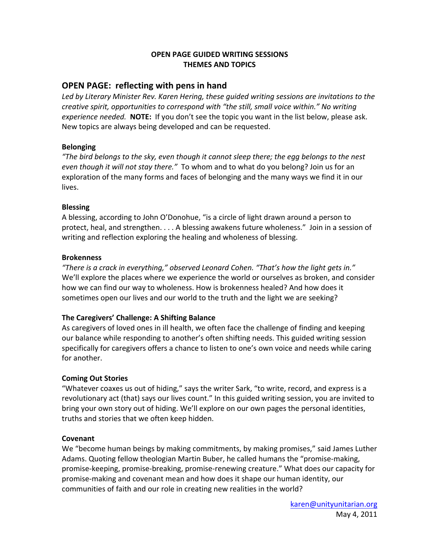### **OPEN PAGE GUIDED WRITING SESSIONS THEMES AND TOPICS**

# **OPEN PAGE: reflecting with pens in hand**

*Led by Literary Minister Rev. Karen Hering, these guided writing sessions are invitations to the creative spirit, opportunities to correspond with "the still, small voice within." No writing experience needed.* **NOTE:** If you don't see the topic you want in the list below, please ask. New topics are always being developed and can be requested.

#### **Belonging**

*"The bird belongs to the sky, even though it cannot sleep there; the egg belongs to the nest even though it will not stay there."* To whom and to what do you belong? Join us for an exploration of the many forms and faces of belonging and the many ways we find it in our lives.

#### **Blessing**

A blessing, according to John O'Donohue, "is a circle of light drawn around a person to protect, heal, and strengthen. . . . A blessing awakens future wholeness." Join in a session of writing and reflection exploring the healing and wholeness of blessing.

#### **Brokenness**

*"There is a crack in everything," observed Leonard Cohen. "That's how the light gets in."*  We'll explore the places where we experience the world or ourselves as broken, and consider how we can find our way to wholeness. How is brokenness healed? And how does it sometimes open our lives and our world to the truth and the light we are seeking?

# **The Caregivers' Challenge: A Shifting Balance**

As caregivers of loved ones in ill health, we often face the challenge of finding and keeping our balance while responding to another's often shifting needs. This guided writing session specifically for caregivers offers a chance to listen to one's own voice and needs while caring for another.

# **Coming Out Stories**

"Whatever coaxes us out of hiding," says the writer Sark, "to write, record, and express is a revolutionary act (that) says our lives count." In this guided writing session, you are invited to bring your own story out of hiding. We'll explore on our own pages the personal identities, truths and stories that we often keep hidden.

#### **Covenant**

We "become human beings by making commitments, by making promises," said James Luther Adams. Quoting fellow theologian Martin Buber, he called humans the "promise‐making, promise‐keeping, promise‐breaking, promise‐renewing creature." What does our capacity for promise‐making and covenant mean and how does it shape our human identity, our communities of faith and our role in creating new realities in the world?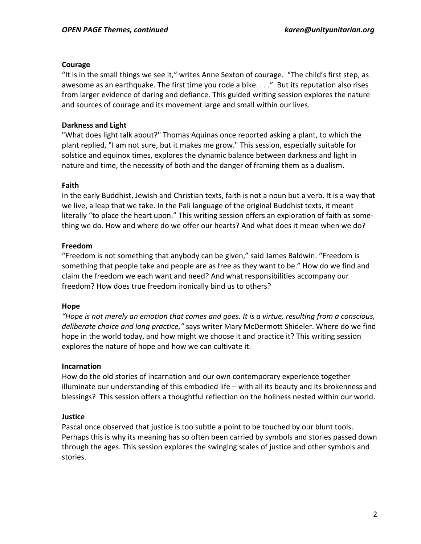#### **Courage**

"It is in the small things we see it," writes Anne Sexton of courage. "The child's first step, as awesome as an earthquake. The first time you rode a bike. . . ." But its reputation also rises from larger evidence of daring and defiance. This guided writing session explores the nature and sources of courage and its movement large and small within our lives.

### **Darkness and Light**

"What does light talk about?" Thomas Aquinas once reported asking a plant, to which the plant replied, "I am not sure, but it makes me grow." This session, especially suitable for solstice and equinox times, explores the dynamic balance between darkness and light in nature and time, the necessity of both and the danger of framing them as a dualism.

#### **Faith**

In the early Buddhist, Jewish and Christian texts, faith is not a noun but a verb. It is a way that we live, a leap that we take. In the Pali language of the original Buddhist texts, it meant literally "to place the heart upon." This writing session offers an exploration of faith as some‐ thing we do. How and where do we offer our hearts? And what does it mean when we do?

## **Freedom**

"Freedom is not something that anybody can be given," said James Baldwin. "Freedom is something that people take and people are as free as they want to be." How do we find and claim the freedom we each want and need? And what responsibilities accompany our freedom? How does true freedom ironically bind us to others?

#### **Hope**

*"Hope is not merely an emotion that comes and goes. It is a virtue, resulting from a conscious, deliberate choice and long practice,"* says writer Mary McDermott Shideler. Where do we find hope in the world today, and how might we choose it and practice it? This writing session explores the nature of hope and how we can cultivate it.

#### **Incarnation**

How do the old stories of incarnation and our own contemporary experience together illuminate our understanding of this embodied life – with all its beauty and its brokenness and blessings? This session offers a thoughtful reflection on the holiness nested within our world.

#### **Justice**

Pascal once observed that justice is too subtle a point to be touched by our blunt tools. Perhaps this is why its meaning has so often been carried by symbols and stories passed down through the ages. This session explores the swinging scales of justice and other symbols and stories.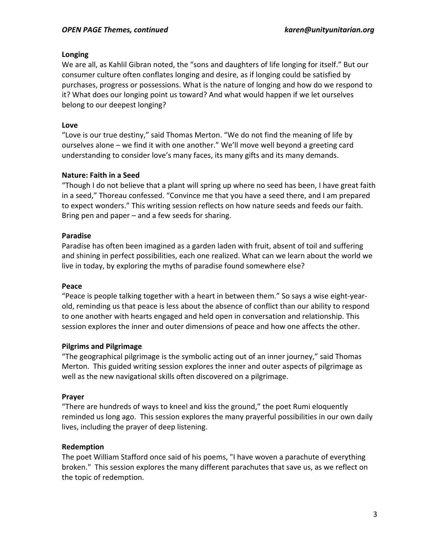### **Longing**

We are all, as Kahlil Gibran noted, the "sons and daughters of life longing for itself." But our consumer culture often conflates longing and desire, as if longing could be satisfied by purchases, progress or possessions. What is the nature of longing and how do we respond to it? What does our longing point us toward? And what would happen if we let ourselves belong to our deepest longing?

## **Love**

"Love is our true destiny," said Thomas Merton. "We do not find the meaning of life by ourselves alone – we find it with one another." We'll move well beyond a greeting card understanding to consider love's many faces, its many gifts and its many demands.

#### **Nature: Faith in a Seed**

"Though I do not believe that a plant will spring up where no seed has been, I have great faith in a seed," Thoreau confessed. "Convince me that you have a seed there, and I am prepared to expect wonders." This writing session reflects on how nature seeds and feeds our faith. Bring pen and paper – and a few seeds for sharing.

## **Paradise**

Paradise has often been imagined as a garden laden with fruit, absent of toil and suffering and shining in perfect possibilities, each one realized. What can we learn about the world we live in today, by exploring the myths of paradise found somewhere else?

#### **Peace**

"Peace is people talking together with a heart in between them." So says a wise eight‐year‐ old, reminding us that peace is less about the absence of conflict than our ability to respond to one another with hearts engaged and held open in conversation and relationship. This session explores the inner and outer dimensions of peace and how one affects the other.

#### **Pilgrims and Pilgrimage**

"The geographical pilgrimage is the symbolic acting out of an inner journey," said Thomas Merton. This guided writing session explores the inner and outer aspects of pilgrimage as well as the new navigational skills often discovered on a pilgrimage.

#### **Prayer**

"There are hundreds of ways to kneel and kiss the ground," the poet Rumi eloquently reminded us long ago. This session explores the many prayerful possibilities in our own daily lives, including the prayer of deep listening.

#### **Redemption**

The poet William Stafford once said of his poems, "I have woven a parachute of everything broken." This session explores the many different parachutes that save us, as we reflect on the topic of redemption.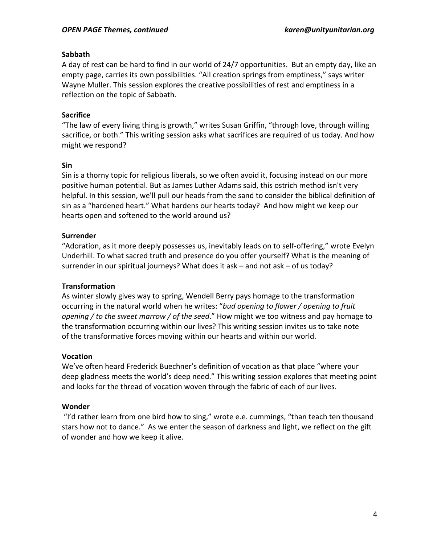### **Sabbath**

A day of rest can be hard to find in our world of 24/7 opportunities. But an empty day, like an empty page, carries its own possibilities. "All creation springs from emptiness," says writer Wayne Muller. This session explores the creative possibilities of rest and emptiness in a reflection on the topic of Sabbath.

## **Sacrifice**

"The law of every living thing is growth," writes Susan Griffin, "through love, through willing sacrifice, or both." This writing session asks what sacrifices are required of us today. And how might we respond?

## **Sin**

Sin is a thorny topic for religious liberals, so we often avoid it, focusing instead on our more positive human potential. But as James Luther Adams said, this ostrich method isn't very helpful. In this session, we'll pull our heads from the sand to consider the biblical definition of sin as a "hardened heart." What hardens our hearts today? And how might we keep our hearts open and softened to the world around us?

## **Surrender**

"Adoration, as it more deeply possesses us, inevitably leads on to self‐offering," wrote Evelyn Underhill. To what sacred truth and presence do you offer yourself? What is the meaning of surrender in our spiritual journeys? What does it ask – and not ask – of us today?

#### **Transformation**

As winter slowly gives way to spring, Wendell Berry pays homage to the transformation occurring in the natural world when he writes: "*bud opening to flower / opening to fruit opening / to the sweet marrow / of the seed*." How might we too witness and pay homage to the transformation occurring within our lives? This writing session invites us to take note of the transformative forces moving within our hearts and within our world.

#### **Vocation**

We've often heard Frederick Buechner's definition of vocation as that place "where your deep gladness meets the world's deep need." This writing session explores that meeting point and looks for the thread of vocation woven through the fabric of each of our lives.

# **Wonder**

"I'd rather learn from one bird how to sing," wrote e.e. cummings, "than teach ten thousand stars how not to dance." As we enter the season of darkness and light, we reflect on the gift of wonder and how we keep it alive.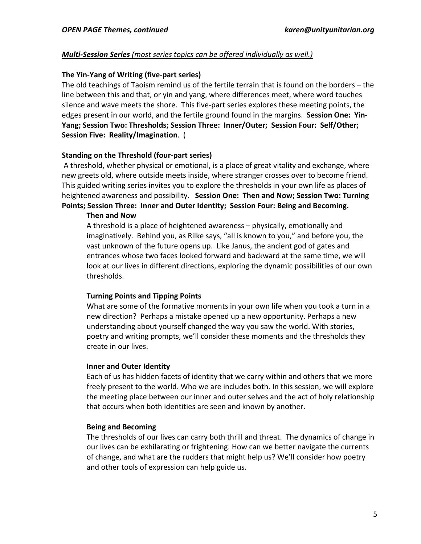### *Multi‐Session Series (most series topics can be offered individually as well.)*

### **The Yin‐Yang of Writing (five‐part series)**

The old teachings of Taoism remind us of the fertile terrain that is found on the borders – the line between this and that, or yin and yang, where differences meet, where word touches silence and wave meets the shore. This five‐part series explores these meeting points, the edges present in our world, and the fertile ground found in the margins. **Session One: Yin‐ Yang; Session Two: Thresholds; Session Three: Inner/Outer; Session Four: Self/Other; Session Five: Reality/Imagination**. (

## **Standing on the Threshold (four‐part series)**

A threshold, whether physical or emotional, is a place of great vitality and exchange, where new greets old, where outside meets inside, where stranger crosses over to become friend. This guided writing series invites you to explore the thresholds in your own life as places of heightened awareness and possibility. **Session One: Then and Now; Session Two: Turning Points; Session Three: Inner and Outer Identity; Session Four: Being and Becoming.** 

#### **Then and Now**

A threshold is a place of heightened awareness – physically, emotionally and imaginatively. Behind you, as Rilke says, "all is known to you," and before you, the vast unknown of the future opens up. Like Janus, the ancient god of gates and entrances whose two faces looked forward and backward at the same time, we will look at our lives in different directions, exploring the dynamic possibilities of our own thresholds.

#### **Turning Points and Tipping Points**

What are some of the formative moments in your own life when you took a turn in a new direction? Perhaps a mistake opened up a new opportunity. Perhaps a new understanding about yourself changed the way you saw the world. With stories, poetry and writing prompts, we'll consider these moments and the thresholds they create in our lives.

#### **Inner and Outer Identity**

Each of us has hidden facets of identity that we carry within and others that we more freely present to the world. Who we are includes both. In this session, we will explore the meeting place between our inner and outer selves and the act of holy relationship that occurs when both identities are seen and known by another.

#### **Being and Becoming**

The thresholds of our lives can carry both thrill and threat. The dynamics of change in our lives can be exhilarating or frightening. How can we better navigate the currents of change, and what are the rudders that might help us? We'll consider how poetry and other tools of expression can help guide us.